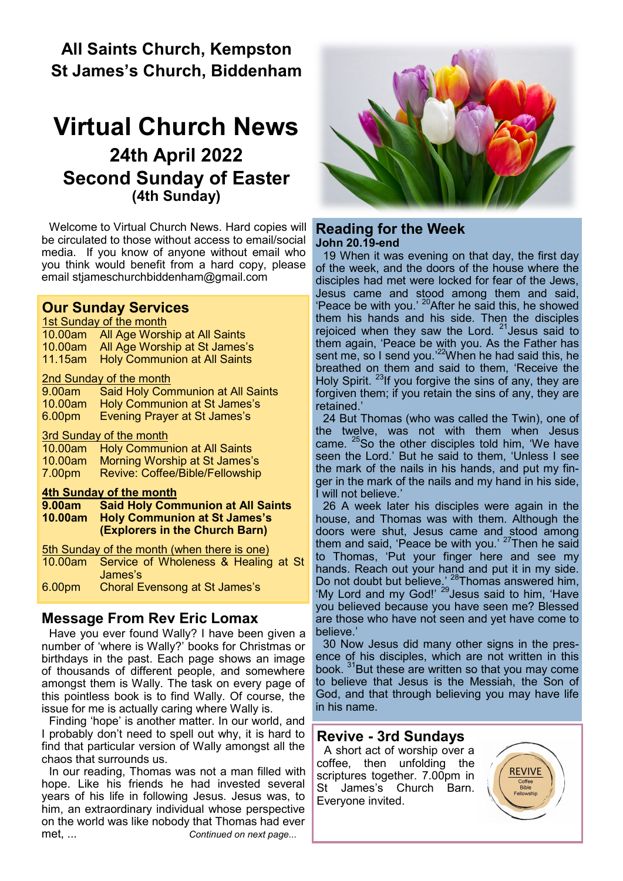# **All Saints Church, Kempston St James's Church, Biddenham**

# **Virtual Church News 24th April 2022 Second Sunday of Easter (4th Sunday)**

Welcome to Virtual Church News. Hard copies will be circulated to those without access to email/social media. If you know of anyone without email who you think would benefit from a hard copy, please email [stjameschurchbiddenham@gmail.com](mailto:Jacqui.piper@btinternet.com) 

#### **Our Sunday Services**

| 1st Sunday of the month                                   |                                          |
|-----------------------------------------------------------|------------------------------------------|
| 10.00am                                                   | All Age Worship at All Saints            |
| $10.00$ am                                                | All Age Worship at St James's            |
| 11.15am l                                                 | <b>Holy Communion at All Saints</b>      |
| <b>2nd Sunday of the month</b>                            |                                          |
| 9.00am                                                    | Said Holy Communion at All Saints        |
| 10.00am                                                   | Holy Communion at St James's             |
| 6.00pm                                                    | <b>Evening Prayer at St James's</b>      |
| 3rd Sunday of the month                                   |                                          |
| $10.00$ am                                                | <b>Holy Communion at All Saints</b>      |
| 10.00am                                                   | Morning Worship at St James's            |
| 7.00pm                                                    | <b>Revive: Coffee/Bible/Fellowship</b>   |
| 4th Sunday of the month                                   |                                          |
| 9.00am -                                                  | <b>Said Holy Communion at All Saints</b> |
| 10.00am                                                   | <b>Holy Communion at St James's</b>      |
|                                                           | (Explorers in the Church Barn)           |
| <b><u>5th Sunday of the month (when there is one)</u></b> |                                          |
| 10.00am                                                   | Service of Wholeness & Healing at St     |
|                                                           | James's                                  |
| 6.00pm                                                    | <b>Choral Evensong at St James's</b>     |
|                                                           |                                          |

### **Message From Rev Eric Lomax**

Have you ever found Wally? I have been given a number of 'where is Wally?' books for Christmas or birthdays in the past. Each page shows an image of thousands of different people, and somewhere amongst them is Wally. The task on every page of this pointless book is to find Wally. Of course, the issue for me is actually caring where Wally is.

Finding 'hope' is another matter. In our world, and I probably don't need to spell out why, it is hard to find that particular version of Wally amongst all the chaos that surrounds us.

In our reading, Thomas was not a man filled with hope. Like his friends he had invested several years of his life in following Jesus. Jesus was, to him, an extraordinary individual whose perspective on the world was like nobody that Thomas had ever met, ... *Continued on next page...*



#### **Reading for the Week John 20.19-end**

19 When it was evening on that day, the first day of the week, and the doors of the house where the disciples had met were locked for fear of the Jews, Jesus came and stood among them and said, 'Peace be with you.' <sup>20</sup> After he said this, he showed them his hands and his side. Then the disciples rejoiced when they saw the Lord.  $21$  Jesus said to them again, 'Peace be with you. As the Father has sent me, so I send you.<sup>22</sup>When he had said this, he breathed on them and said to them, 'Receive the Holy Spirit. <sup>23</sup>If you forgive the sins of any, they are forgiven them; if you retain the sins of any, they are retained.'

24 But Thomas (who was called the Twin), one of the twelve, was not with them when Jesus came.  $25$ So the other disciples told him, 'We have seen the Lord.' But he said to them, 'Unless I see the mark of the nails in his hands, and put my finger in the mark of the nails and my hand in his side, I will not believe.'

26 A week later his disciples were again in the house, and Thomas was with them. Although the doors were shut, Jesus came and stood among them and said, 'Peace be with you.' <sup>27</sup>Then he said to Thomas, 'Put your finger here and see my hands. Reach out your hand and put it in my side. Do not doubt but believe.' <sup>28</sup>Thomas answered him, 'My Lord and my God!' <sup>29</sup> Jesus said to him, 'Have you believed because you have seen me? Blessed are those who have not seen and yet have come to believe.'

30 Now Jesus did many other signs in the presence of his disciples, which are not written in this book.  $31$ But these are written so that you may come to believe that Jesus is the Messiah, the Son of God, and that through believing you may have life in his name.

### **Revive - 3rd Sundays**

A short act of worship over a coffee, then unfolding the scriptures together. 7.00pm in St James's Church Barn. Everyone invited.

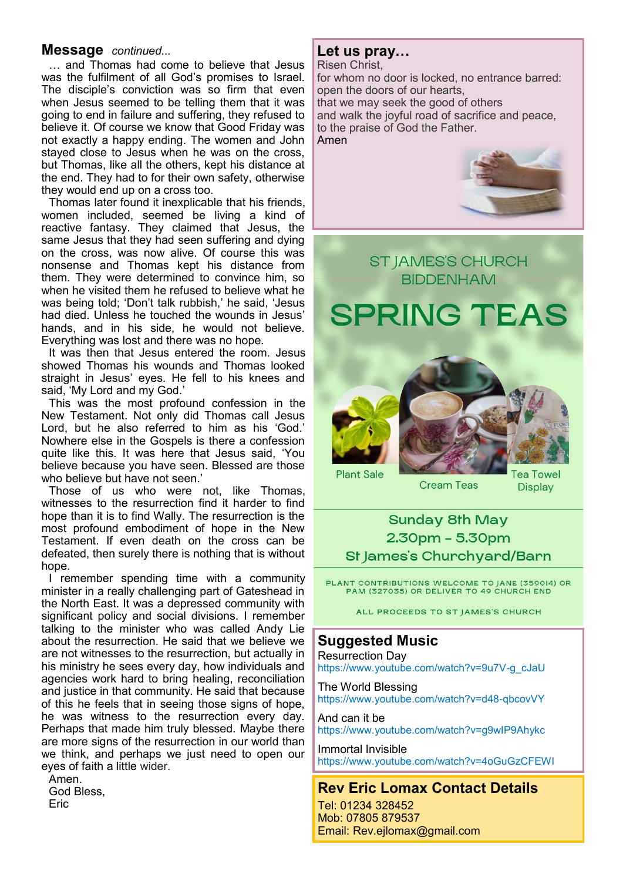#### **Message** *continued...*

… and Thomas had come to believe that Jesus was the fulfilment of all God's promises to Israel. The disciple's conviction was so firm that even when Jesus seemed to be telling them that it was going to end in failure and suffering, they refused to believe it. Of course we know that Good Friday was not exactly a happy ending. The women and John stayed close to Jesus when he was on the cross, but Thomas, like all the others, kept his distance at the end. They had to for their own safety, otherwise they would end up on a cross too.

Thomas later found it inexplicable that his friends, women included, seemed be living a kind of reactive fantasy. They claimed that Jesus, the same Jesus that they had seen suffering and dying on the cross, was now alive. Of course this was nonsense and Thomas kept his distance from them. They were determined to convince him, so when he visited them he refused to believe what he was being told; 'Don't talk rubbish,' he said, 'Jesus had died. Unless he touched the wounds in Jesus' hands, and in his side, he would not believe. Everything was lost and there was no hope.

It was then that Jesus entered the room. Jesus showed Thomas his wounds and Thomas looked straight in Jesus' eyes. He fell to his knees and said, 'My Lord and my God.'

This was the most profound confession in the New Testament. Not only did Thomas call Jesus Lord, but he also referred to him as his 'God.' Nowhere else in the Gospels is there a confession quite like this. It was here that Jesus said, 'You believe because you have seen. Blessed are those who believe but have not seen.'

Those of us who were not, like Thomas, witnesses to the resurrection find it harder to find hope than it is to find Wally. The resurrection is the most profound embodiment of hope in the New Testament. If even death on the cross can be defeated, then surely there is nothing that is without hope.

I remember spending time with a community minister in a really challenging part of Gateshead in the North East. It was a depressed community with significant policy and social divisions. I remember talking to the minister who was called Andy Lie about the resurrection. He said that we believe we are not witnesses to the resurrection, but actually in his ministry he sees every day, how individuals and agencies work hard to bring healing, reconciliation and justice in that community. He said that because of this he feels that in seeing those signs of hope, he was witness to the resurrection every day. Perhaps that made him truly blessed. Maybe there are more signs of the resurrection in our world than we think, and perhaps we just need to open our eyes of faith a little wider.

Amen. God Bless,

Eric

#### **Let us pray…**

Risen Christ, for whom no door is locked, no entrance barred: open the doors of our hearts, that we may seek the good of others and walk the joyful road of sacrifice and peace, to the praise of God the Father. Amen



# **ST JAMES'S CHURCH BIDDENHAM**

# **SPRING TEAS**





**Cream Teas** 

ea Towel **Display** 

# **Sunday 8th May** 2.30pm - 5.30pm St James's Churchvard/Barn

PLANT CONTRIBUTIONS WELCOME TO JANE (359014) OR PAM (327035) OR DELIVER TO 49 CHURCH END

ALL PROCEEDS TO ST JAMES'S CHURCH

# **Suggested Music**

Resurrection Day https://www.youtube.com/watch?v=9u7V-g\_cJaU

The World Blessing https://www.youtube.com/watch?v=d48-qbcovVY

And can it be https://www.youtube.com/watch?v=g9wIP9Ahykc

Immortal Invisible https://www.youtube.com/watch?v=4oGuGzCFEWI

# **Rev Eric Lomax Contact Details**

Tel: 01234 328452 Mob: 07805 879537 Email: Rev.ejlomax@gmail.com